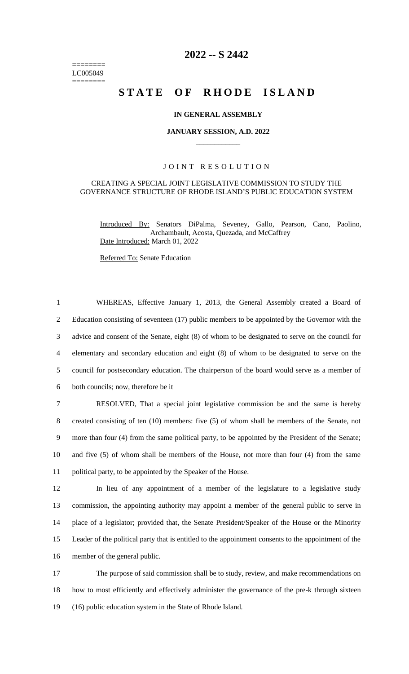======== LC005049 ========

# **2022 -- S 2442**

# **STATE OF RHODE ISLAND**

### **IN GENERAL ASSEMBLY**

### **JANUARY SESSION, A.D. 2022 \_\_\_\_\_\_\_\_\_\_\_\_**

### JOINT RESOLUTION

### CREATING A SPECIAL JOINT LEGISLATIVE COMMISSION TO STUDY THE GOVERNANCE STRUCTURE OF RHODE ISLAND'S PUBLIC EDUCATION SYSTEM

Introduced By: Senators DiPalma, Seveney, Gallo, Pearson, Cano, Paolino, Archambault, Acosta, Quezada, and McCaffrey Date Introduced: March 01, 2022

Referred To: Senate Education

 WHEREAS, Effective January 1, 2013, the General Assembly created a Board of Education consisting of seventeen (17) public members to be appointed by the Governor with the advice and consent of the Senate, eight (8) of whom to be designated to serve on the council for elementary and secondary education and eight (8) of whom to be designated to serve on the council for postsecondary education. The chairperson of the board would serve as a member of both councils; now, therefore be it RESOLVED, That a special joint legislative commission be and the same is hereby

 created consisting of ten (10) members: five (5) of whom shall be members of the Senate, not more than four (4) from the same political party, to be appointed by the President of the Senate; and five (5) of whom shall be members of the House, not more than four (4) from the same political party, to be appointed by the Speaker of the House.

 In lieu of any appointment of a member of the legislature to a legislative study commission, the appointing authority may appoint a member of the general public to serve in place of a legislator; provided that, the Senate President/Speaker of the House or the Minority Leader of the political party that is entitled to the appointment consents to the appointment of the member of the general public.

17 The purpose of said commission shall be to study, review, and make recommendations on 18 how to most efficiently and effectively administer the governance of the pre-k through sixteen 19 (16) public education system in the State of Rhode Island.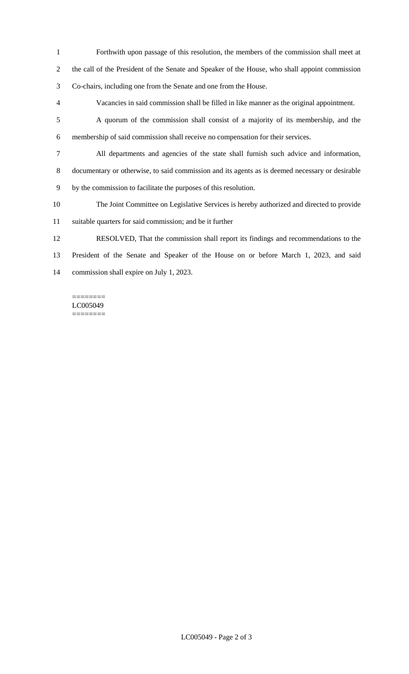- Forthwith upon passage of this resolution, the members of the commission shall meet at the call of the President of the Senate and Speaker of the House, who shall appoint commission Co-chairs, including one from the Senate and one from the House.
- Vacancies in said commission shall be filled in like manner as the original appointment.
- A quorum of the commission shall consist of a majority of its membership, and the membership of said commission shall receive no compensation for their services.
- All departments and agencies of the state shall furnish such advice and information, documentary or otherwise, to said commission and its agents as is deemed necessary or desirable
- by the commission to facilitate the purposes of this resolution.
- The Joint Committee on Legislative Services is hereby authorized and directed to provide suitable quarters for said commission; and be it further
- RESOLVED, That the commission shall report its findings and recommendations to the President of the Senate and Speaker of the House on or before March 1, 2023, and said commission shall expire on July 1, 2023.

#### ======== LC005049 ========